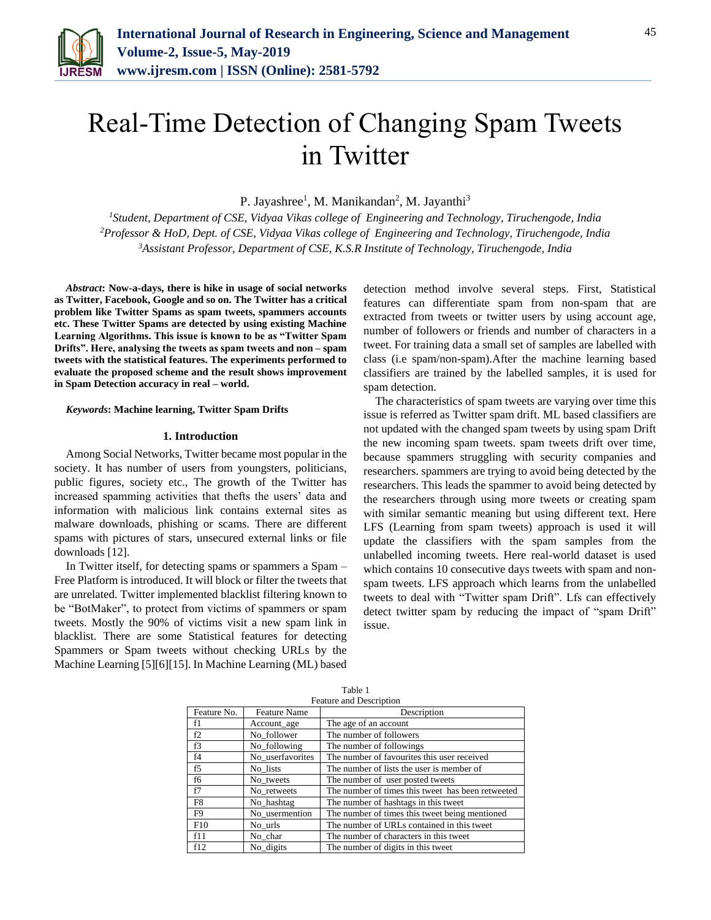

# Real-Time Detection of Changing Spam Tweets in Twitter

P. Jayashree<sup>1</sup>, M. Manikandan<sup>2</sup>, M. Jayanthi<sup>3</sup>

*<sup>1</sup>Student, Department of CSE, Vidyaa Vikas college of Engineering and Technology, Tiruchengode, India <sup>2</sup>Professor & HoD, Dept. of CSE, Vidyaa Vikas college of Engineering and Technology, Tiruchengode, India <sup>3</sup>Assistant Professor, Department of CSE, K.S.R Institute of Technology, Tiruchengode, India*

*Abstract***: Now-a-days, there is hike in usage of social networks as Twitter, Facebook, Google and so on. The Twitter has a critical problem like Twitter Spams as spam tweets, spammers accounts etc. These Twitter Spams are detected by using existing Machine Learning Algorithms. This issue is known to be as "Twitter Spam Drifts". Here, analysing the tweets as spam tweets and non – spam tweets with the statistical features. The experiments performed to evaluate the proposed scheme and the result shows improvement in Spam Detection accuracy in real – world.**

#### *Keywords***: Machine learning, Twitter Spam Drifts**

#### **1. Introduction**

Among Social Networks, Twitter became most popular in the society. It has number of users from youngsters, politicians, public figures, society etc., The growth of the Twitter has increased spamming activities that thefts the users' data and information with malicious link contains external sites as malware downloads, phishing or scams. There are different spams with pictures of stars, unsecured external links or file downloads [12].

In Twitter itself, for detecting spams or spammers a Spam – Free Platform is introduced. It will block or filter the tweets that are unrelated. Twitter implemented blacklist filtering known to be "BotMaker", to protect from victims of spammers or spam tweets. Mostly the 90% of victims visit a new spam link in blacklist. There are some Statistical features for detecting Spammers or Spam tweets without checking URLs by the Machine Learning [5][6][15]. In Machine Learning (ML) based

detection method involve several steps. First, Statistical features can differentiate spam from non-spam that are extracted from tweets or twitter users by using account age, number of followers or friends and number of characters in a tweet. For training data a small set of samples are labelled with class (i.e spam/non-spam).After the machine learning based classifiers are trained by the labelled samples, it is used for spam detection.

The characteristics of spam tweets are varying over time this issue is referred as Twitter spam drift. ML based classifiers are not updated with the changed spam tweets by using spam Drift the new incoming spam tweets. spam tweets drift over time, because spammers struggling with security companies and researchers. spammers are trying to avoid being detected by the researchers. This leads the spammer to avoid being detected by the researchers through using more tweets or creating spam with similar semantic meaning but using different text. Here LFS (Learning from spam tweets) approach is used it will update the classifiers with the spam samples from the unlabelled incoming tweets. Here real-world dataset is used which contains 10 consecutive days tweets with spam and nonspam tweets. LFS approach which learns from the unlabelled tweets to deal with "Twitter spam Drift". Lfs can effectively detect twitter spam by reducing the impact of "spam Drift" issue.

| Feature and Description |                     |                                                   |
|-------------------------|---------------------|---------------------------------------------------|
| Feature No.             | <b>Feature Name</b> | Description                                       |
| f1                      | Account_age         | The age of an account                             |
| f2                      | No follower         | The number of followers                           |
| f3                      | No_following        | The number of followings                          |
| f4                      | No_userfavorites    | The number of favourites this user received       |
| f5                      | No lists            | The number of lists the user is member of         |
| f6                      | No_tweets           | The number of user posted tweets                  |
| f7                      | No retweets         | The number of times this tweet has been retweeted |
| F8                      | No_hashtag          | The number of hashtags in this tweet              |
| F9                      | No_usermention      | The number of times this tweet being mentioned    |
| F10                     | No_urls             | The number of URLs contained in this tweet        |
| f11                     | No_char             | The number of characters in this tweet            |
| f12                     | No_digits           | The number of digits in this tweet                |

# Table 1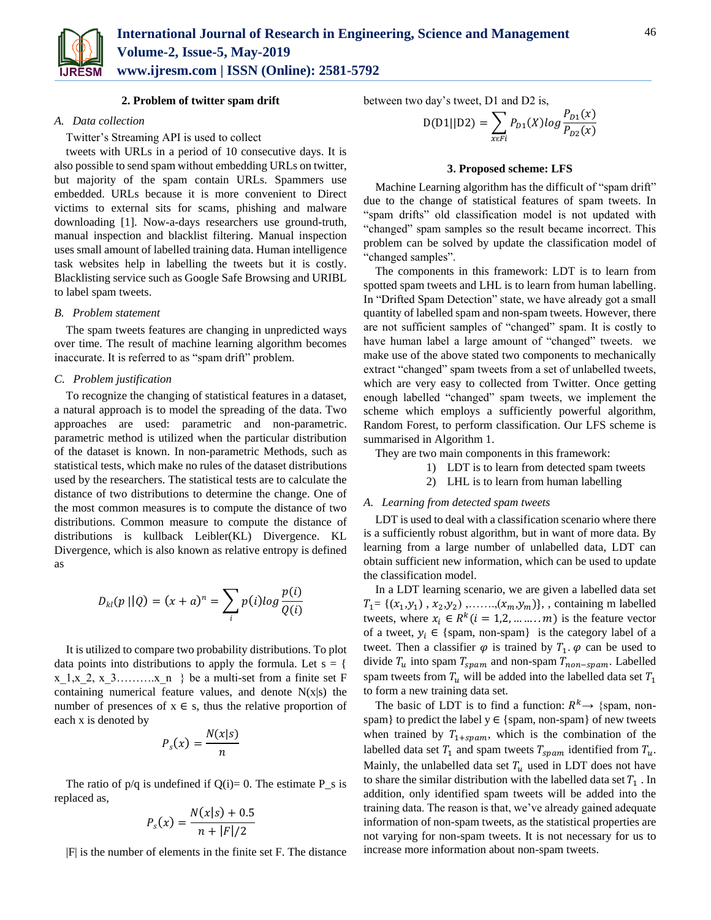

### **2. Problem of twitter spam drift**

### *A. Data collection*

Twitter's Streaming API is used to collect

tweets with URLs in a period of 10 consecutive days. It is also possible to send spam without embedding URLs on twitter, but majority of the spam contain URLs. Spammers use embedded. URLs because it is more convenient to Direct victims to external sits for scams, phishing and malware downloading [1]. Now-a-days researchers use ground-truth, manual inspection and blacklist filtering. Manual inspection uses small amount of labelled training data. Human intelligence task websites help in labelling the tweets but it is costly. Blacklisting service such as Google Safe Browsing and URIBL to label spam tweets.

## *B. Problem statement*

The spam tweets features are changing in unpredicted ways over time. The result of machine learning algorithm becomes inaccurate. It is referred to as "spam drift" problem.

### *C. Problem justification*

To recognize the changing of statistical features in a dataset, a natural approach is to model the spreading of the data. Two approaches are used: parametric and non-parametric. parametric method is utilized when the particular distribution of the dataset is known. In non-parametric Methods, such as statistical tests, which make no rules of the dataset distributions used by the researchers. The statistical tests are to calculate the distance of two distributions to determine the change. One of the most common measures is to compute the distance of two distributions. Common measure to compute the distance of distributions is kullback Leibler(KL) Divergence. KL Divergence, which is also known as relative entropy is defined as

$$
D_{kl}(p || Q) = (x + a)^n = \sum_i p(i)log \frac{p(i)}{Q(i)}
$$

It is utilized to compare two probability distributions. To plot data points into distributions to apply the formula. Let  $s = \{$ x 1,x 2, x 3………..x n } be a multi-set from a finite set F containing numerical feature values, and denote  $N(x|s)$  the number of presences of  $x \in s$ , thus the relative proportion of each x is denoted by

$$
P_s(x) = \frac{N(x|s)}{n}
$$

The ratio of  $p/q$  is undefined if  $Q(i)=0$ . The estimate P\_s is replaced as,

$$
P_s(x) = \frac{N(x|s) + 0.5}{n + |F|/2}
$$

|F| is the number of elements in the finite set F. The distance

between two day's tweet, D1 and D2 is,

$$
D(D1||D2) = \sum_{x \in Fi} P_{D1}(X) \log \frac{P_{D1}(x)}{P_{D2}(x)}
$$

#### **3. Proposed scheme: LFS**

Machine Learning algorithm has the difficult of "spam drift" due to the change of statistical features of spam tweets. In "spam drifts" old classification model is not updated with "changed" spam samples so the result became incorrect. This problem can be solved by update the classification model of "changed samples".

The components in this framework: LDT is to learn from spotted spam tweets and LHL is to learn from human labelling. In "Drifted Spam Detection" state, we have already got a small quantity of labelled spam and non-spam tweets. However, there are not sufficient samples of "changed" spam. It is costly to have human label a large amount of "changed" tweets. we make use of the above stated two components to mechanically extract "changed" spam tweets from a set of unlabelled tweets, which are very easy to collected from Twitter. Once getting enough labelled "changed" spam tweets, we implement the scheme which employs a sufficiently powerful algorithm, Random Forest, to perform classification. Our LFS scheme is summarised in Algorithm 1.

They are two main components in this framework:

- 1) LDT is to learn from detected spam tweets
- 2) LHL is to learn from human labelling

#### *A. Learning from detected spam tweets*

LDT is used to deal with a classification scenario where there is a sufficiently robust algorithm, but in want of more data. By learning from a large number of unlabelled data, LDT can obtain sufficient new information, which can be used to update the classification model.

In a LDT learning scenario, we are given a labelled data set  $T_1 = \{ (x_1, y_1), x_2, y_2), \dots, (x_m, y_m) \},$ , containing m labelled tweets, where  $x_i \in R^k$   $(i = 1, 2, ..., m)$  is the feature vector of a tweet,  $y_i \in \{spam, non-spam\}$  is the category label of a tweet. Then a classifier  $\varphi$  is trained by  $T_1$ .  $\varphi$  can be used to divide  $T_u$  into spam  $T_{spam}$  and non-spam  $T_{non-spam}$ . Labelled spam tweets from  $T_u$  will be added into the labelled data set  $T_1$ to form a new training data set.

The basic of LDT is to find a function:  $R^k \rightarrow \{$ spam, nonspam} to predict the label  $y \in \{spam, non-spam\}$  of new tweets when trained by  $T_{1+span}$ , which is the combination of the labelled data set  $T_1$  and spam tweets  $T_{spam}$  identified from  $T_u$ . Mainly, the unlabelled data set  $T_u$  used in LDT does not have to share the similar distribution with the labelled data set  $T_1$ . In addition, only identified spam tweets will be added into the training data. The reason is that, we've already gained adequate information of non-spam tweets, as the statistical properties are not varying for non-spam tweets. It is not necessary for us to increase more information about non-spam tweets.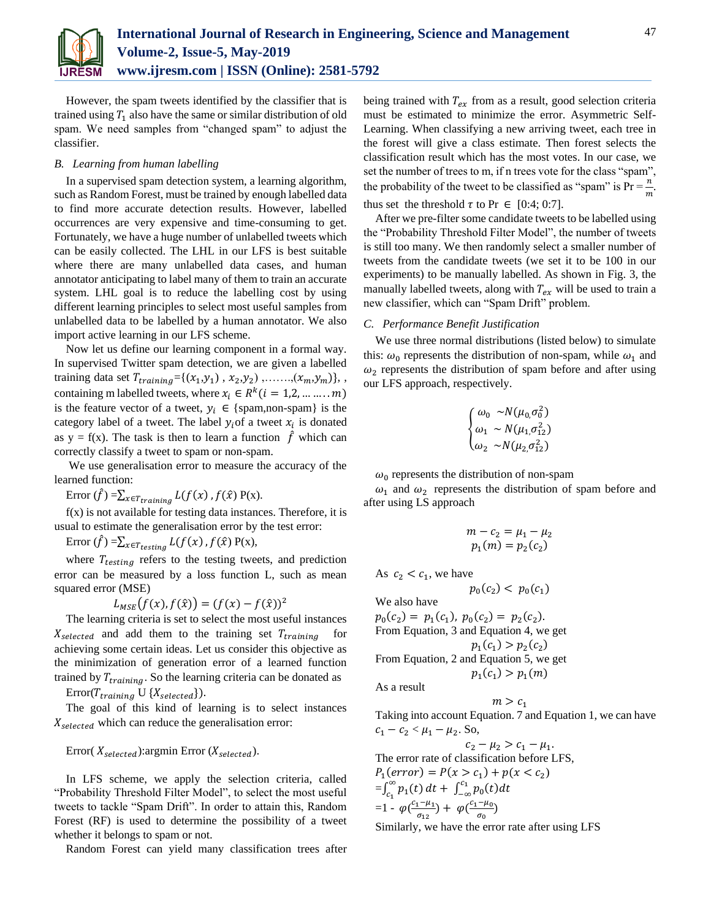

However, the spam tweets identified by the classifier that is trained using  $T_1$  also have the same or similar distribution of old spam. We need samples from "changed spam" to adjust the classifier.

# *B. Learning from human labelling*

In a supervised spam detection system, a learning algorithm, such as Random Forest, must be trained by enough labelled data to find more accurate detection results. However, labelled occurrences are very expensive and time-consuming to get. Fortunately, we have a huge number of unlabelled tweets which can be easily collected. The LHL in our LFS is best suitable where there are many unlabelled data cases, and human annotator anticipating to label many of them to train an accurate system. LHL goal is to reduce the labelling cost by using different learning principles to select most useful samples from unlabelled data to be labelled by a human annotator. We also import active learning in our LFS scheme.

Now let us define our learning component in a formal way. In supervised Twitter spam detection, we are given a labelled training data set  $T_{training} = \{(x_1, y_1), x_2, y_2), \dots, (x_m, y_m)\},$ , containing m labelled tweets, where  $x_i \in R^k$   $(i = 1, 2, ..., ..., m)$ is the feature vector of a tweet,  $y_i \in \{spam, non-span\}$  is the category label of a tweet. The label  $y_i$  of a tweet  $x_i$  is donated as y = f(x). The task is then to learn a function  $\hat{f}$  which can correctly classify a tweet to spam or non-spam.

We use generalisation error to measure the accuracy of the learned function:

Error  $(\hat{f}) = \sum_{x \in T_{training}} L(f(x), f(\hat{x}) P(x)).$ 

f(x) is not available for testing data instances. Therefore, it is usual to estimate the generalisation error by the test error:

Error  $(\hat{f}) = \sum_{x \in T_{testing}} L(f(x), f(\hat{x}) P(x),$ 

where  $T_{testing}$  refers to the testing tweets, and prediction error can be measured by a loss function L, such as mean squared error (MSE)

 $L_{MSE}(f(x), f(\hat{x})) = (f(x) - f(\hat{x}))^2$ 

The learning criteria is set to select the most useful instances  $X_{selected}$  and add them to the training set  $T_{training}$ achieving some certain ideas. Let us consider this objective as the minimization of generation error of a learned function trained by  $T_{training}$ . So the learning criteria can be donated as

 $Error(T_{training} \cup \{X_{selected}\}).$ 

The goal of this kind of learning is to select instances  $X_{selected}$  which can reduce the generalisation error:

Error( $X_{selected}$ ): argmin Error ( $X_{selected}$ ).

In LFS scheme, we apply the selection criteria, called "Probability Threshold Filter Model", to select the most useful tweets to tackle "Spam Drift". In order to attain this, Random Forest (RF) is used to determine the possibility of a tweet whether it belongs to spam or not.

Random Forest can yield many classification trees after

being trained with  $T_{ex}$  from as a result, good selection criteria must be estimated to minimize the error. Asymmetric Self-Learning. When classifying a new arriving tweet, each tree in the forest will give a class estimate. Then forest selects the classification result which has the most votes. In our case, we set the number of trees to m, if n trees vote for the class "spam", the probability of the tweet to be classified as "spam" is  $Pr = \frac{n}{m}$ . thus set the threshold  $\tau$  to Pr  $\in$  [0:4; 0:7].

After we pre-filter some candidate tweets to be labelled using the "Probability Threshold Filter Model", the number of tweets is still too many. We then randomly select a smaller number of tweets from the candidate tweets (we set it to be 100 in our experiments) to be manually labelled. As shown in Fig. 3, the manually labelled tweets, along with  $T_{ex}$  will be used to train a new classifier, which can "Spam Drift" problem.

## *C. Performance Benefit Justification*

We use three normal distributions (listed below) to simulate this:  $\omega_0$  represents the distribution of non-spam, while  $\omega_1$  and  $\omega_2$  represents the distribution of spam before and after using our LFS approach, respectively.

$$
\begin{cases} \omega_0 \sim N(\mu_0, \sigma_0^2) \\ \omega_1 \sim N(\mu_1, \sigma_{12}^2) \\ \omega_2 \sim N(\mu_2, \sigma_{12}^2) \end{cases}
$$

 $\omega_0$  represents the distribution of non-spam

 $\omega_1$  and  $\omega_2$  represents the distribution of spam before and after using LS approach

$$
m - c_2 = \mu_1 - \mu_2 \n p_1(m) = p_2(c_2)
$$

As  $c_2 < c_1$ , we have

$$
p_0(c_2) < p_0(c_1)
$$

We also have

 $p_0(c_2) = p_1(c_1), p_0(c_2) = p_2(c_2).$ From Equation, 3 and Equation 4, we get  $p_1(c_1) > p_2(c_2)$ 

From Equation, 2 and Equation 5, we get  $p_1(c_1) > p_1(m)$ 

As a result

Taking into account Equation. 7 and Equation 1, we can have  $c_1 - c_2 < \mu_1 - \mu_2$ . So,

 $m > c_1$ 

 $c_2 - \mu_2 > c_1 - \mu_1.$ The error rate of classification before LFS,  $P_1(error) = P(x > c_1) + p(x < c_2)$  $=\int_{c_1}^{\infty} p_1(t)$  $\int_{c_1}^{\infty} p_1(t) dt + \int_{-\infty}^{c_1} p_0(t) dt$  $=1 - \varphi \left( \frac{c_1 - \mu_1}{\sigma_1} \right)$  $\frac{1-\mu_1}{\sigma_{12}}$ ) +  $\varphi(\frac{c_1-\mu_0}{\sigma_0})$  $\frac{-\mu_0}{\sigma_0}$ 

Similarly, we have the error rate after using LFS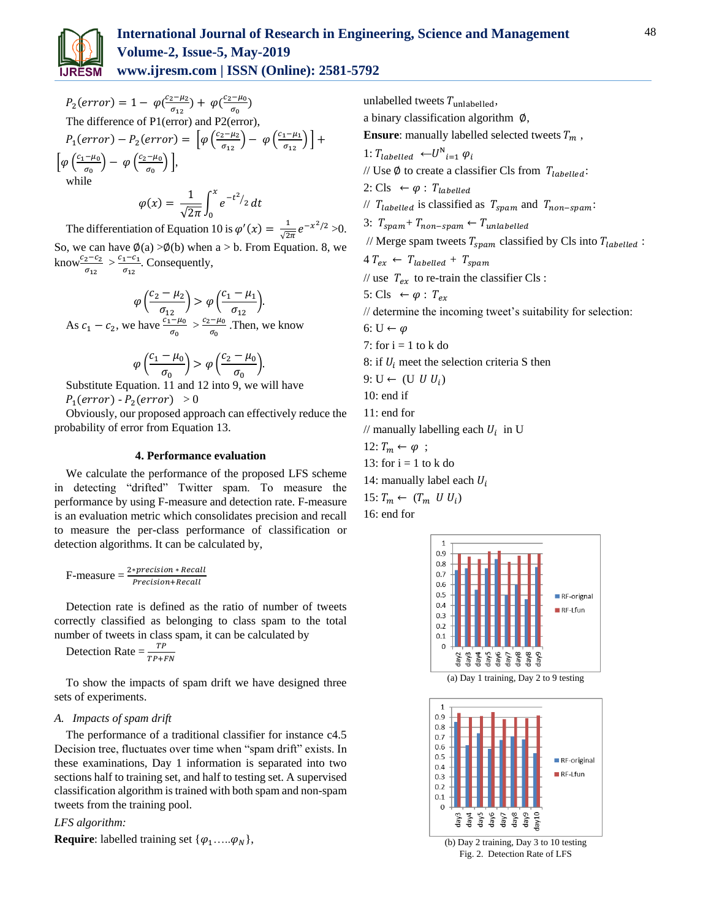

 $P_2(error) = 1 - \varphi(\frac{c_2 - \mu_2}{\sigma_1})$  $\frac{1}{\sigma_{12}}$  +  $\varphi(\frac{c_2-\mu_0}{\sigma_0})$  $\frac{-\mu_0}{\sigma_0}$ The difference of P1(error) and P2(error),  $P_1(\text{error}) - P_2(\text{error}) = \left[\varphi\left(\frac{c_2 - \mu_2}{\sigma_{12}}\right)\right]$  $\left(\frac{c_1-\mu_1}{\sigma_{12}}\right)$  –  $\varphi\left(\frac{c_1-\mu_1}{\sigma_{12}}\right)$  $\frac{1-\mu_1}{\sigma_{12}}$  | +  $\int \varphi \left( \frac{c_1 - \mu_0}{\sigma_0} \right)$  $\left(\frac{-\mu_0}{\sigma_0}\right)$  –  $\varphi\left(\frac{c_2-\mu_0}{\sigma_0}\right)$  $\frac{\overline{\phantom{a}}^{\mu_0}}{\sigma_0}\Big)\Big],$ while

$$
\varphi(x) = \frac{1}{\sqrt{2\pi}} \int_0^x e^{-t^2/2} dt
$$

The differentiation of Equation 10 is  $\varphi'(x) = \frac{1}{\sqrt{2}}$  $\frac{1}{\sqrt{2\pi}}e^{-x^2/2} > 0.$ 

So, we can have  $\phi(a) > \phi(b)$  when  $a > b$ . From Equation. 8, we know $\frac{c_2-c_2}{\sigma_{12}} > \frac{c_1-c_1}{\sigma_{12}}$  $rac{1-c_1}{\sigma_{12}}$ . Consequently,

 $\varphi\left(\frac{c_2-\mu_2}{\sigma}\right)$  $\left(\frac{-\mu_2}{\sigma_{12}}\right) > \varphi\left(\frac{c_1 - \mu_1}{\sigma_{12}}\right)$  $\frac{r_{1}}{\sigma_{12}}$ ). As  $c_1 - c_2$ , we have  $\frac{\overline{c_1} - \mu_0}{\sigma_0} > \frac{c_2 - \mu_0}{\sigma_0}$  $\frac{(-\mu_0)}{\sigma_0}$ . Then, we know

$$
\varphi\left(\frac{c_1-\mu_0}{\sigma_0}\right) > \varphi\left(\frac{c_2-\mu_0}{\sigma_0}\right).
$$

Substitute Equation. 11 and 12 into 9, we will have  $P_1(error) - P_2(error) > 0$ 

Obviously, our proposed approach can effectively reduce the probability of error from Equation 13.

# **4. Performance evaluation**

We calculate the performance of the proposed LFS scheme in detecting "drifted" Twitter spam. To measure the performance by using F-measure and detection rate. F-measure is an evaluation metric which consolidates precision and recall to measure the per-class performance of classification or detection algorithms. It can be calculated by,

$$
F-measure = \frac{2*precision * Recall}{Precision + Recall}
$$

Detection rate is defined as the ratio of number of tweets correctly classified as belonging to class spam to the total number of tweets in class spam, it can be calculated by

Detection Rate  $=$   $\frac{TP}{TP+FN}$ 

To show the impacts of spam drift we have designed three sets of experiments.

# *A. Impacts of spam drift*

The performance of a traditional classifier for instance c4.5 Decision tree, fluctuates over time when "spam drift" exists. In these examinations, Day 1 information is separated into two sections half to training set, and half to testing set. A supervised classification algorithm is trained with both spam and non-spam tweets from the training pool.

# *LFS algorithm:*

**Require**: labelled training set  $\{\varphi_1, ..., \varphi_N\},\$ 

unlabelled tweets  $T_{\text{unlabeled}}$ , a binary classification algorithm ∅, **Ensure:** manually labelled selected tweets  $T_m$ , 1:  $T_{labeled} \leftarrow U^N_{i=1} \varphi_i$ // Use  $\emptyset$  to create a classifier Cls from  $T_{labeled}$ : 2: Cls  $\leftarrow \varphi$  : T<sub>labelled</sub> //  $T_{labeled}$  is classified as  $T_{spam}$  and  $T_{non-span}$ . 3:  $T_{spam} + T_{non-spam} \leftarrow T_{unlabeled}$ // Merge spam tweets  $T_{spam}$  classified by Cls into  $T_{labeled}$ :  $4 T_{ex} \leftarrow T_{labelled} + T_{spam}$ // use  $T_{ex}$  to re-train the classifier Cls : 5: Cls  $\leftarrow \varphi : T_{ex}$ // determine the incoming tweet's suitability for selection: 6:  $U \leftarrow \varphi$ 7: for  $i = 1$  to k do 8: if  $U_i$  meet the selection criteria S then 9: U  $\leftarrow$  (U U U<sub>i</sub>) 10: end if 11: end for // manually labelling each  $U_i$  in U 12:  $T_m \leftarrow \varphi$ ; 13: for  $i = 1$  to k do 14: manually label each  $U_i$ 15:  $T_m \leftarrow (T_m \ U U_i)$ 

16: end for



(a) Day 1 training, Day 2 to 9 testing

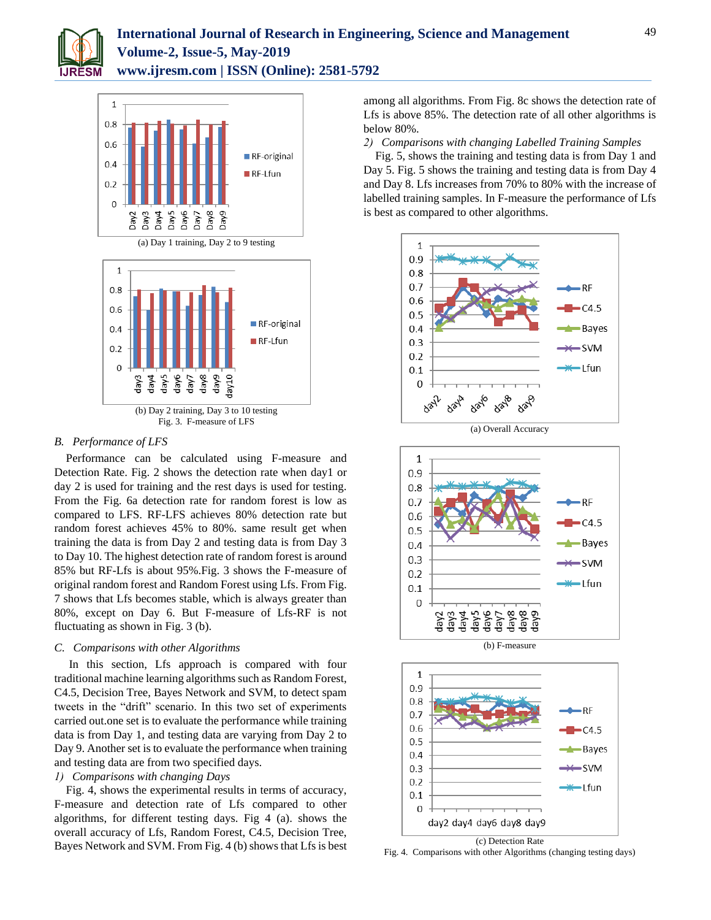



(a) Day 1 training, Day 2 to 9 testing



# *B. Performance of LFS*

Performance can be calculated using F-measure and Detection Rate. Fig. 2 shows the detection rate when day1 or day 2 is used for training and the rest days is used for testing. From the Fig. 6a detection rate for random forest is low as compared to LFS. RF-LFS achieves 80% detection rate but random forest achieves 45% to 80%. same result get when training the data is from Day 2 and testing data is from Day 3 to Day 10. The highest detection rate of random forest is around 85% but RF-Lfs is about 95%.Fig. 3 shows the F-measure of original random forest and Random Forest using Lfs. From Fig. 7 shows that Lfs becomes stable, which is always greater than 80%, except on Day 6. But F-measure of Lfs-RF is not fluctuating as shown in Fig. 3 (b).

# *C. Comparisons with other Algorithms*

In this section, Lfs approach is compared with four traditional machine learning algorithms such as Random Forest, C4.5, Decision Tree, Bayes Network and SVM, to detect spam tweets in the "drift" scenario. In this two set of experiments carried out.one set is to evaluate the performance while training data is from Day 1, and testing data are varying from Day 2 to Day 9. Another set is to evaluate the performance when training and testing data are from two specified days.

# *1) Comparisons with changing Days*

Fig. 4, shows the experimental results in terms of accuracy, F-measure and detection rate of Lfs compared to other algorithms, for different testing days. Fig 4 (a). shows the overall accuracy of Lfs, Random Forest, C4.5, Decision Tree, Bayes Network and SVM. From Fig. 4 (b) shows that Lfs is best among all algorithms. From Fig. 8c shows the detection rate of Lfs is above 85%. The detection rate of all other algorithms is below 80%.

*2) Comparisons with changing Labelled Training Samples*

Fig. 5, shows the training and testing data is from Day 1 and Day 5. Fig. 5 shows the training and testing data is from Day 4 and Day 8. Lfs increases from 70% to 80% with the increase of labelled training samples. In F-measure the performance of Lfs is best as compared to other algorithms.





(b) F-measure



Fig. 4. Comparisons with other Algorithms (changing testing days)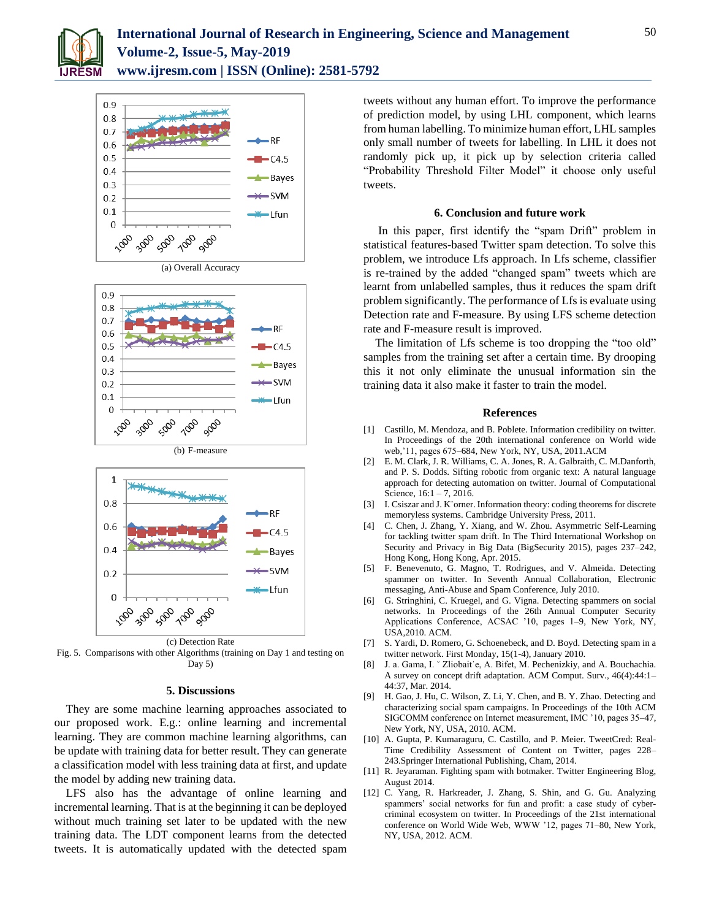









Fig. 5. Comparisons with other Algorithms (training on Day 1 and testing on Day 5)

# **5. Discussions**

They are some machine learning approaches associated to our proposed work. E.g.: online learning and incremental learning. They are common machine learning algorithms, can be update with training data for better result. They can generate a classification model with less training data at first, and update the model by adding new training data.

LFS also has the advantage of online learning and incremental learning. That is at the beginning it can be deployed without much training set later to be updated with the new training data. The LDT component learns from the detected tweets. It is automatically updated with the detected spam

tweets without any human effort. To improve the performance of prediction model, by using LHL component, which learns from human labelling. To minimize human effort, LHL samples only small number of tweets for labelling. In LHL it does not randomly pick up, it pick up by selection criteria called "Probability Threshold Filter Model" it choose only useful tweets.

#### **6. Conclusion and future work**

In this paper, first identify the "spam Drift" problem in statistical features-based Twitter spam detection. To solve this problem, we introduce Lfs approach. In Lfs scheme, classifier is re-trained by the added "changed spam" tweets which are learnt from unlabelled samples, thus it reduces the spam drift problem significantly. The performance of Lfs is evaluate using Detection rate and F-measure. By using LFS scheme detection rate and F-measure result is improved.

The limitation of Lfs scheme is too dropping the "too old" samples from the training set after a certain time. By drooping this it not only eliminate the unusual information sin the training data it also make it faster to train the model.

#### **References**

- [1] Castillo, M. Mendoza, and B. Poblete. Information credibility on twitter. In Proceedings of the 20th international conference on World wide web,'11, pages 675–684, New York, NY, USA, 2011.ACM
- [2] E. M. Clark, J. R. Williams, C. A. Jones, R. A. Galbraith, C. M.Danforth, and P. S. Dodds. Sifting robotic from organic text: A natural language approach for detecting automation on twitter. Journal of Computational Science, 16:1 – 7, 2016.
- [3] I. Csiszar and J. K¨orner. Information theory: coding theorems for discrete memoryless systems. Cambridge University Press, 2011.
- [4] C. Chen, J. Zhang, Y. Xiang, and W. Zhou. Asymmetric Self-Learning for tackling twitter spam drift. In The Third International Workshop on Security and Privacy in Big Data (BigSecurity 2015), pages 237–242, Hong Kong, Hong Kong, Apr. 2015.
- [5] F. Benevenuto, G. Magno, T. Rodrigues, and V. Almeida. Detecting spammer on twitter. In Seventh Annual Collaboration, Electronic messaging, Anti-Abuse and Spam Conference, July 2010.
- [6] G. Stringhini, C. Kruegel, and G. Vigna. Detecting spammers on social networks. In Proceedings of the 26th Annual Computer Security Applications Conference, ACSAC '10, pages 1–9, New York, NY, USA,2010. ACM.
- [7] S. Yardi, D. Romero, G. Schoenebeck, and D. Boyd. Detecting spam in a twitter network. First Monday, 15(1-4), January 2010.
- [8] J. a. Gama, I.  $\check{Z}$  Zliobait e, A. Bifet, M. Pechenizkiy, and A. Bouchachia. A survey on concept drift adaptation. ACM Comput. Surv., 46(4):44:1– 44:37, Mar. 2014.
- [9] H. Gao, J. Hu, C. Wilson, Z. Li, Y. Chen, and B. Y. Zhao. Detecting and characterizing social spam campaigns. In Proceedings of the 10th ACM SIGCOMM conference on Internet measurement, IMC '10, pages 35–47, New York, NY, USA, 2010. ACM.
- [10] A. Gupta, P. Kumaraguru, C. Castillo, and P. Meier. TweetCred: Real-Time Credibility Assessment of Content on Twitter, pages 228– 243.Springer International Publishing, Cham, 2014.
- [11] R. Jeyaraman. Fighting spam with botmaker. Twitter Engineering Blog, August 2014.
- [12] C. Yang, R. Harkreader, J. Zhang, S. Shin, and G. Gu. Analyzing spammers' social networks for fun and profit: a case study of cybercriminal ecosystem on twitter. In Proceedings of the 21st international conference on World Wide Web, WWW '12, pages 71–80, New York, NY, USA, 2012. ACM.